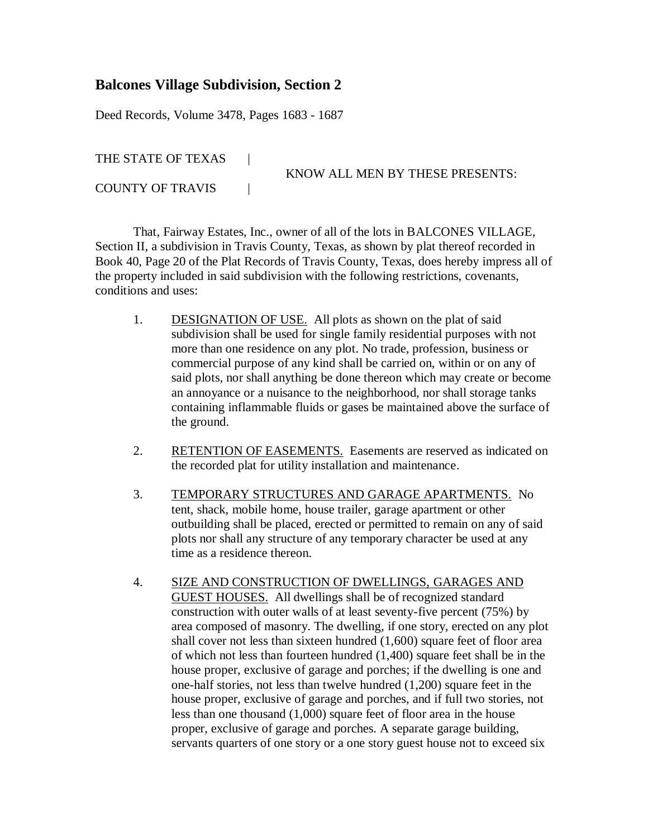## **Balcones Village Subdivision, Section 2**

Deed Records, Volume 3478, Pages 1683 - 1687

THE STATE OF TEXAS |

KNOW ALL MEN BY THESE PRESENTS:

COUNTY OF TRAVIS |

That, Fairway Estates, Inc., owner of all of the lots in BALCONES VILLAGE, Section II, a subdivision in Travis County, Texas, as shown by plat thereof recorded in Book 40, Page 20 of the Plat Records of Travis County, Texas, does hereby impress all of the property included in said subdivision with the following restrictions, covenants, conditions and uses:

- 1. DESIGNATION OF USE. All plots as shown on the plat of said subdivision shall be used for single family residential purposes with not more than one residence on any plot. No trade, profession, business or commercial purpose of any kind shall be carried on, within or on any of said plots, nor shall anything be done thereon which may create or become an annoyance or a nuisance to the neighborhood, nor shall storage tanks containing inflammable fluids or gases be maintained above the surface of the ground.
- 2. RETENTION OF EASEMENTS. Easements are reserved as indicated on the recorded plat for utility installation and maintenance.
- 3. TEMPORARY STRUCTURES AND GARAGE APARTMENTS. No tent, shack, mobile home, house trailer, garage apartment or other outbuilding shall be placed, erected or permitted to remain on any of said plots nor shall any structure of any temporary character be used at any time as a residence thereon.
- 4. SIZE AND CONSTRUCTION OF DWELLINGS, GARAGES AND GUEST HOUSES. All dwellings shall be of recognized standard construction with outer walls of at least seventy-five percent (75%) by area composed of masonry. The dwelling, if one story, erected on any plot shall cover not less than sixteen hundred (1,600) square feet of floor area of which not less than fourteen hundred (1,400) square feet shall be in the house proper, exclusive of garage and porches; if the dwelling is one and one-half stories, not less than twelve hundred (1,200) square feet in the house proper, exclusive of garage and porches, and if full two stories, not less than one thousand (1,000) square feet of floor area in the house proper, exclusive of garage and porches. A separate garage building, servants quarters of one story or a one story guest house not to exceed six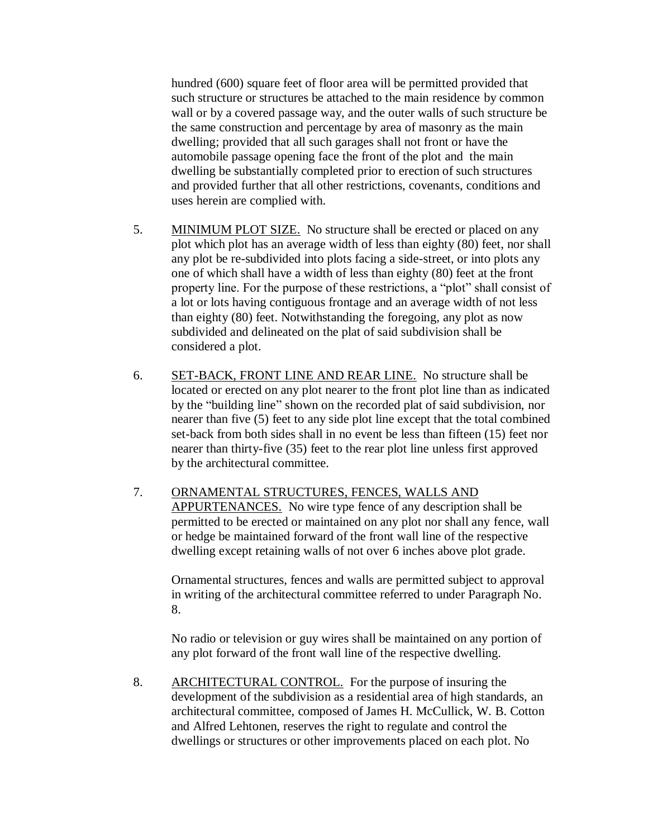hundred (600) square feet of floor area will be permitted provided that such structure or structures be attached to the main residence by common wall or by a covered passage way, and the outer walls of such structure be the same construction and percentage by area of masonry as the main dwelling; provided that all such garages shall not front or have the automobile passage opening face the front of the plot and the main dwelling be substantially completed prior to erection of such structures and provided further that all other restrictions, covenants, conditions and uses herein are complied with.

- 5. MINIMUM PLOT SIZE. No structure shall be erected or placed on any plot which plot has an average width of less than eighty (80) feet, nor shall any plot be re-subdivided into plots facing a side-street, or into plots any one of which shall have a width of less than eighty (80) feet at the front property line. For the purpose of these restrictions, a "plot" shall consist of a lot or lots having contiguous frontage and an average width of not less than eighty (80) feet. Notwithstanding the foregoing, any plot as now subdivided and delineated on the plat of said subdivision shall be considered a plot.
- 6. SET-BACK, FRONT LINE AND REAR LINE. No structure shall be located or erected on any plot nearer to the front plot line than as indicated by the "building line" shown on the recorded plat of said subdivision, nor nearer than five (5) feet to any side plot line except that the total combined set-back from both sides shall in no event be less than fifteen (15) feet nor nearer than thirty-five (35) feet to the rear plot line unless first approved by the architectural committee.
- 7. ORNAMENTAL STRUCTURES, FENCES, WALLS AND APPURTENANCES. No wire type fence of any description shall be permitted to be erected or maintained on any plot nor shall any fence, wall or hedge be maintained forward of the front wall line of the respective dwelling except retaining walls of not over 6 inches above plot grade.

Ornamental structures, fences and walls are permitted subject to approval in writing of the architectural committee referred to under Paragraph No. 8.

No radio or television or guy wires shall be maintained on any portion of any plot forward of the front wall line of the respective dwelling.

8. ARCHITECTURAL CONTROL. For the purpose of insuring the development of the subdivision as a residential area of high standards, an architectural committee, composed of James H. McCullick, W. B. Cotton and Alfred Lehtonen, reserves the right to regulate and control the dwellings or structures or other improvements placed on each plot. No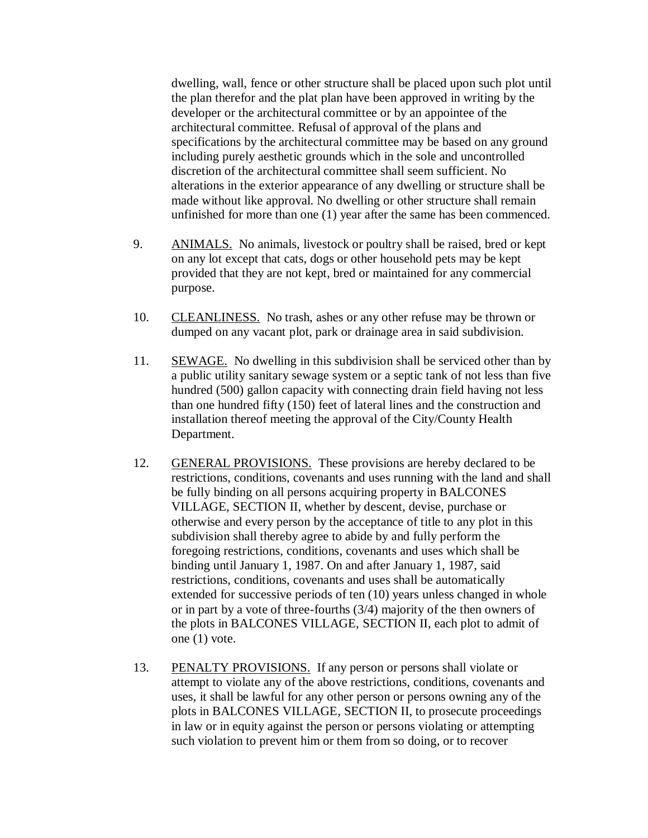dwelling, wall, fence or other structure shall be placed upon such plot until the plan therefor and the plat plan have been approved in writing by the developer or the architectural committee or by an appointee of the architectural committee. Refusal of approval of the plans and specifications by the architectural committee may be based on any ground including purely aesthetic grounds which in the sole and uncontrolled discretion of the architectural committee shall seem sufficient. No alterations in the exterior appearance of any dwelling or structure shall be made without like approval. No dwelling or other structure shall remain unfinished for more than one (1) year after the same has been commenced.

- 9. ANIMALS. No animals, livestock or poultry shall be raised, bred or kept on any lot except that cats, dogs or other household pets may be kept provided that they are not kept, bred or maintained for any commercial purpose.
- 10. CLEANLINESS. No trash, ashes or any other refuse may be thrown or dumped on any vacant plot, park or drainage area in said subdivision.
- 11. SEWAGE. No dwelling in this subdivision shall be serviced other than by a public utility sanitary sewage system or a septic tank of not less than five hundred (500) gallon capacity with connecting drain field having not less than one hundred fifty (150) feet of lateral lines and the construction and installation thereof meeting the approval of the City/County Health Department.
- 12. GENERAL PROVISIONS. These provisions are hereby declared to be restrictions, conditions, covenants and uses running with the land and shall be fully binding on all persons acquiring property in BALCONES VILLAGE, SECTION II, whether by descent, devise, purchase or otherwise and every person by the acceptance of title to any plot in this subdivision shall thereby agree to abide by and fully perform the foregoing restrictions, conditions, covenants and uses which shall be binding until January 1, 1987. On and after January 1, 1987, said restrictions, conditions, covenants and uses shall be automatically extended for successive periods of ten (10) years unless changed in whole or in part by a vote of three-fourths (3/4) majority of the then owners of the plots in BALCONES VILLAGE, SECTION II, each plot to admit of one (1) vote.
- 13. PENALTY PROVISIONS. If any person or persons shall violate or attempt to violate any of the above restrictions, conditions, covenants and uses, it shall be lawful for any other person or persons owning any of the plots in BALCONES VILLAGE, SECTION II, to prosecute proceedings in law or in equity against the person or persons violating or attempting such violation to prevent him or them from so doing, or to recover